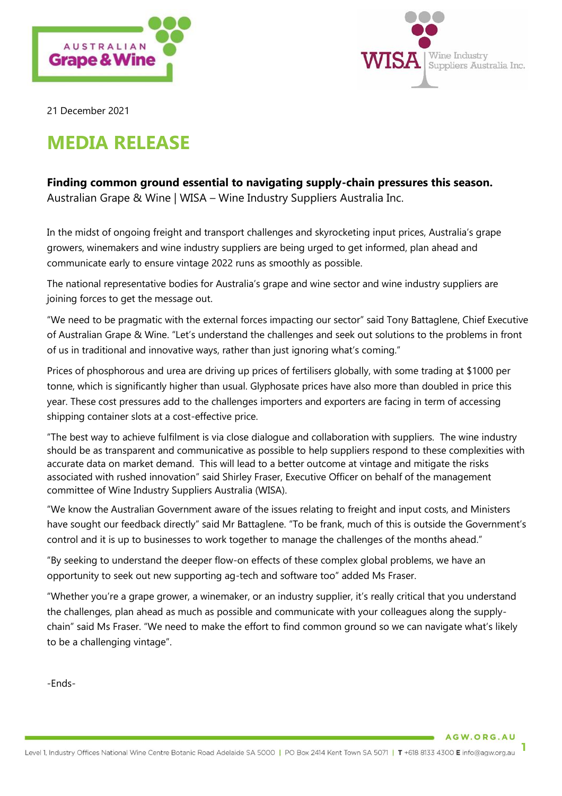



21 December 2021

# **MEDIA RELEASE**

## **Finding common ground essential to navigating supply-chain pressures this season.**

Australian Grape & Wine | WISA – Wine Industry Suppliers Australia Inc.

In the midst of ongoing freight and transport challenges and skyrocketing input prices, Australia's grape growers, winemakers and wine industry suppliers are being urged to get informed, plan ahead and communicate early to ensure vintage 2022 runs as smoothly as possible.

The national representative bodies for Australia's grape and wine sector and wine industry suppliers are joining forces to get the message out.

"We need to be pragmatic with the external forces impacting our sector" said Tony Battaglene, Chief Executive of Australian Grape & Wine. "Let's understand the challenges and seek out solutions to the problems in front of us in traditional and innovative ways, rather than just ignoring what's coming."

Prices of phosphorous and urea are driving up prices of fertilisers globally, with some trading at \$1000 per tonne, which is significantly higher than usual. Glyphosate prices have also more than doubled in price this year. These cost pressures add to the challenges importers and exporters are facing in term of accessing shipping container slots at a cost-effective price.

"The best way to achieve fulfilment is via close dialogue and collaboration with suppliers. The wine industry should be as transparent and communicative as possible to help suppliers respond to these complexities with accurate data on market demand. This will lead to a better outcome at vintage and mitigate the risks associated with rushed innovation" said Shirley Fraser, Executive Officer on behalf of the management committee of Wine Industry Suppliers Australia (WISA).

"We know the Australian Government aware of the issues relating to freight and input costs, and Ministers have sought our feedback directly" said Mr Battaglene. "To be frank, much of this is outside the Government's control and it is up to businesses to work together to manage the challenges of the months ahead."

"By seeking to understand the deeper flow-on effects of these complex global problems, we have an opportunity to seek out new supporting ag-tech and software too" added Ms Fraser.

"Whether you're a grape grower, a winemaker, or an industry supplier, it's really critical that you understand the challenges, plan ahead as much as possible and communicate with your colleagues along the supplychain" said Ms Fraser. "We need to make the effort to find common ground so we can navigate what's likely to be a challenging vintage".

-Ends-

AGW.ORG.AU